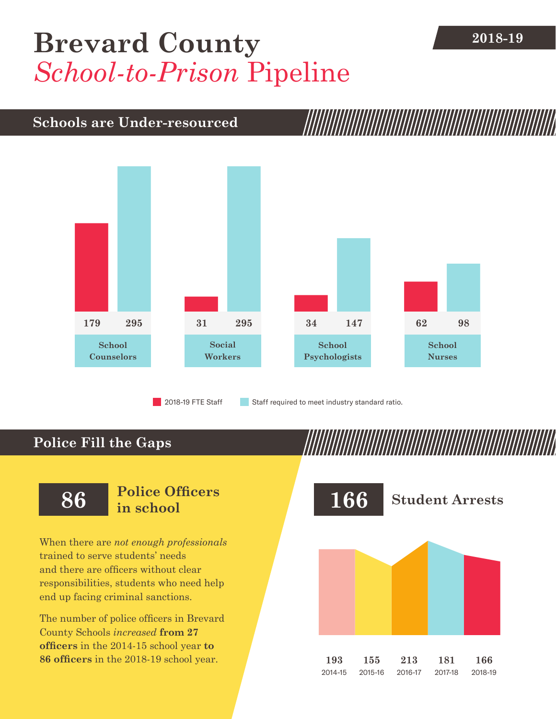# **[Brevard County](DBF_County)** 2018-19 *School-to-Prison* Pipeline

## **Schools are Under-resourced**



2018-19 FTE Staff **Staff required to meet industry standard ratio.** 

### **Police Fill the Gaps**

When there are *not enough professionals* trained to serve students' needs and there are officers without clear responsibilities, students who need help end up facing criminal sanctions.

The number of police officers in [Brevard](DBF_County)  [County](DBF_County) Schools *increased* **from [27](DBF_PO1415)  officers** in the 2014-15 school year **to [86](DBF_PO) officers** in the 2018-19 school year.